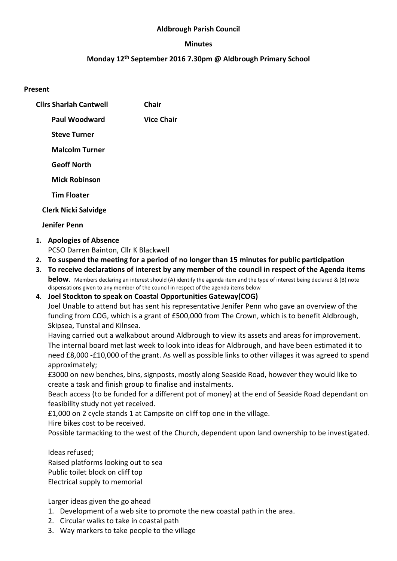#### Aldbrough Parish Council

#### Minutes

## Monday 12th September 2016 7.30pm @ Aldbrough Primary School

#### Present

| <b>Clirs Sharlah Cantwell</b> | Chair             |
|-------------------------------|-------------------|
| Paul Woodward                 | <b>Vice Chair</b> |
| <b>Steve Turner</b>           |                   |
| <b>Malcolm Turner</b>         |                   |
| <b>Geoff North</b>            |                   |
| <b>Mick Robinson</b>          |                   |
| <b>Tim Floater</b>            |                   |
| <b>Clerk Nicki Salvidge</b>   |                   |

#### Jenifer Penn

1. Apologies of Absence

PCSO Darren Bainton, Cllr K Blackwell

- 2. To suspend the meeting for a period of no longer than 15 minutes for public participation
- 3. To receive declarations of interest by any member of the council in respect of the Agenda items **below.** Members declaring an interest should (A) identify the agenda item and the type of interest being declared & (B) note dispensations given to any member of the council in respect of the agenda items below
- 4. Joel Stockton to speak on Coastal Opportunities Gateway(COG)

Joel Unable to attend but has sent his representative Jenifer Penn who gave an overview of the funding from COG, which is a grant of £500,000 from The Crown, which is to benefit Aldbrough, Skipsea, Tunstal and Kilnsea.

Having carried out a walkabout around Aldbrough to view its assets and areas for improvement. The internal board met last week to look into ideas for Aldbrough, and have been estimated it to need £8,000 -£10,000 of the grant. As well as possible links to other villages it was agreed to spend approximately;

£3000 on new benches, bins, signposts, mostly along Seaside Road, however they would like to create a task and finish group to finalise and instalments.

Beach access (to be funded for a different pot of money) at the end of Seaside Road dependant on feasibility study not yet received.

£1,000 on 2 cycle stands 1 at Campsite on cliff top one in the village.

Hire bikes cost to be received.

Possible tarmacking to the west of the Church, dependent upon land ownership to be investigated.

Ideas refused; Raised platforms looking out to sea Public toilet block on cliff top Electrical supply to memorial

Larger ideas given the go ahead

- 1. Development of a web site to promote the new coastal path in the area.
- 2. Circular walks to take in coastal path
- 3. Way markers to take people to the village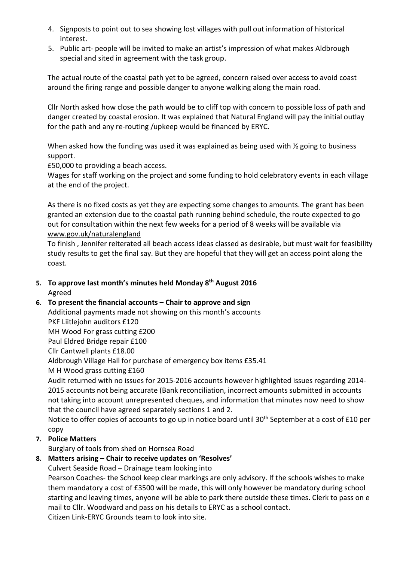- 4. Signposts to point out to sea showing lost villages with pull out information of historical interest.
- 5. Public art- people will be invited to make an artist's impression of what makes Aldbrough special and sited in agreement with the task group.

The actual route of the coastal path yet to be agreed, concern raised over access to avoid coast around the firing range and possible danger to anyone walking along the main road.

Cllr North asked how close the path would be to cliff top with concern to possible loss of path and danger created by coastal erosion. It was explained that Natural England will pay the initial outlay for the path and any re-routing /upkeep would be financed by ERYC.

When asked how the funding was used it was explained as being used with  $\frac{1}{2}$  going to business support.

£50,000 to providing a beach access.

Wages for staff working on the project and some funding to hold celebratory events in each village at the end of the project.

As there is no fixed costs as yet they are expecting some changes to amounts. The grant has been granted an extension due to the coastal path running behind schedule, the route expected to go out for consultation within the next few weeks for a period of 8 weeks will be available via www.gov.uk/naturalengland

To finish , Jennifer reiterated all beach access ideas classed as desirable, but must wait for feasibility study results to get the final say. But they are hopeful that they will get an access point along the coast.

5. To approve last month's minutes held Monday 8<sup>th</sup> August 2016 Agreed

# 6. To present the financial accounts – Chair to approve and sign

Additional payments made not showing on this month's accounts PKF Liitlejohn auditors £120 MH Wood For grass cutting £200

Paul Eldred Bridge repair £100

Cllr Cantwell plants £18.00

Aldbrough Village Hall for purchase of emergency box items £35.41

M H Wood grass cutting £160

Audit returned with no issues for 2015-2016 accounts however highlighted issues regarding 2014- 2015 accounts not being accurate (Bank reconciliation, incorrect amounts submitted in accounts not taking into account unrepresented cheques, and information that minutes now need to show that the council have agreed separately sections 1 and 2.

Notice to offer copies of accounts to go up in notice board until 30<sup>th</sup> September at a cost of £10 per copy

# 7. Police Matters

Burglary of tools from shed on Hornsea Road

# 8. Matters arising – Chair to receive updates on 'Resolves'

Culvert Seaside Road – Drainage team looking into

Pearson Coaches- the School keep clear markings are only advisory. If the schools wishes to make them mandatory a cost of £3500 will be made, this will only however be mandatory during school starting and leaving times, anyone will be able to park there outside these times. Clerk to pass on e mail to Cllr. Woodward and pass on his details to ERYC as a school contact.

Citizen Link-ERYC Grounds team to look into site.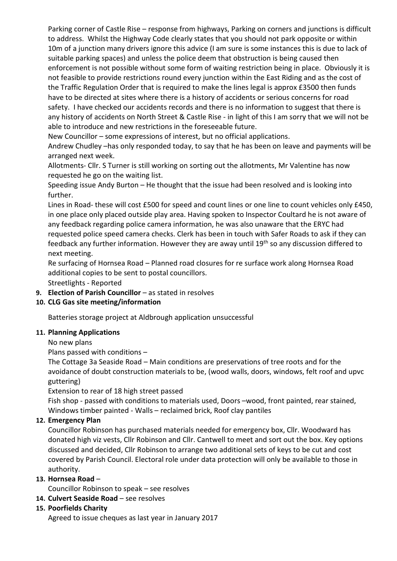Parking corner of Castle Rise – response from highways, Parking on corners and junctions is difficult to address. Whilst the Highway Code clearly states that you should not park opposite or within 10m of a junction many drivers ignore this advice (I am sure is some instances this is due to lack of suitable parking spaces) and unless the police deem that obstruction is being caused then enforcement is not possible without some form of waiting restriction being in place. Obviously it is not feasible to provide restrictions round every junction within the East Riding and as the cost of the Traffic Regulation Order that is required to make the lines legal is approx £3500 then funds have to be directed at sites where there is a history of accidents or serious concerns for road safety. I have checked our accidents records and there is no information to suggest that there is any history of accidents on North Street & Castle Rise - in light of this I am sorry that we will not be able to introduce and new restrictions in the foreseeable future.

New Councillor – some expressions of interest, but no official applications.

Andrew Chudley –has only responded today, to say that he has been on leave and payments will be arranged next week.

Allotments- Cllr. S Turner is still working on sorting out the allotments, Mr Valentine has now requested he go on the waiting list.

Speeding issue Andy Burton – He thought that the issue had been resolved and is looking into further.

Lines in Road- these will cost £500 for speed and count lines or one line to count vehicles only £450, in one place only placed outside play area. Having spoken to Inspector Coultard he is not aware of any feedback regarding police camera information, he was also unaware that the ERYC had requested police speed camera checks. Clerk has been in touch with Safer Roads to ask if they can feedback any further information. However they are away until 19<sup>th</sup> so any discussion differed to next meeting.

Re surfacing of Hornsea Road – Planned road closures for re surface work along Hornsea Road additional copies to be sent to postal councillors.

Streetlights - Reported

9. Election of Parish Councillor – as stated in resolves

## 10. CLG Gas site meeting/information

Batteries storage project at Aldbrough application unsuccessful

## 11. Planning Applications

No new plans

Plans passed with conditions –

The Cottage 3a Seaside Road – Main conditions are preservations of tree roots and for the avoidance of doubt construction materials to be, (wood walls, doors, windows, felt roof and upvc guttering)

Extension to rear of 18 high street passed

Fish shop - passed with conditions to materials used, Doors –wood, front painted, rear stained, Windows timber painted - Walls – reclaimed brick, Roof clay pantiles

## 12. Emergency Plan

Councillor Robinson has purchased materials needed for emergency box, Cllr. Woodward has donated high viz vests, Cllr Robinson and Cllr. Cantwell to meet and sort out the box. Key options discussed and decided, Cllr Robinson to arrange two additional sets of keys to be cut and cost covered by Parish Council. Electoral role under data protection will only be available to those in authority.

## 13. Hornsea Road –

Councillor Robinson to speak – see resolves

14. Culvert Seaside Road – see resolves

## 15. Poorfields Charity

Agreed to issue cheques as last year in January 2017